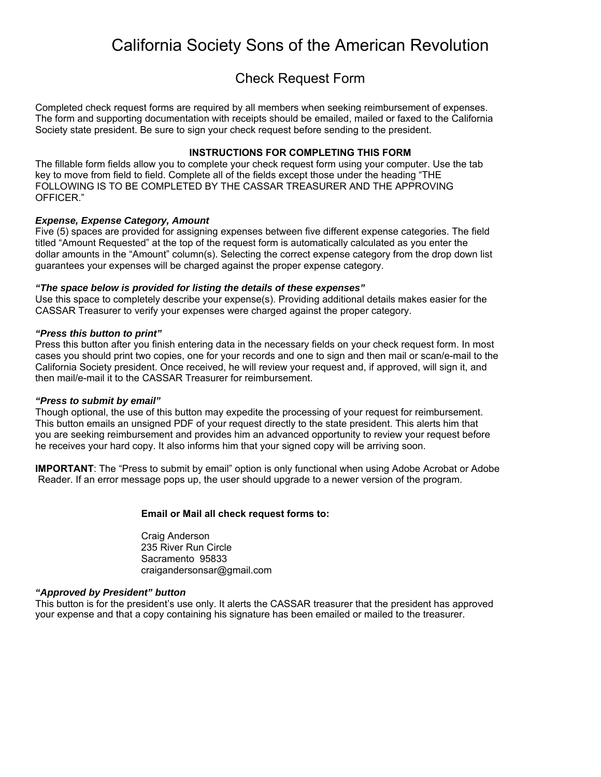## California Society Sons of the American Revolution

### Check Request Form

Completed check request forms are required by all members when seeking reimbursement of expenses. The form and supporting documentation with receipts should be emailed, mailed or faxed to the California Society state president. Be sure to sign your check request before sending to the president.

#### **INSTRUCTIONS FOR COMPLETING THIS FORM**

The fillable form fields allow you to complete your check request form using your computer. Use the tab key to move from field to field. Complete all of the fields except those under the heading "THE FOLLOWING IS TO BE COMPLETED BY THE CASSAR TREASURER AND THE APPROVING OFFICER."

#### *Expense, Expense Category, Amount*

Five (5) spaces are provided for assigning expenses between five different expense categories. The field titled "Amount Requested" at the top of the request form is automatically calculated as you enter the dollar amounts in the "Amount" column(s). Selecting the correct expense category from the drop down list guarantees your expenses will be charged against the proper expense category.

#### *"The space below is provided for listing the details of these expenses"*

Use this space to completely describe your expense(s). Providing additional details makes easier for the CASSAR Treasurer to verify your expenses were charged against the proper category.

#### *"Press this button to print"*

Press this button after you finish entering data in the necessary fields on your check request form. In most cases you should print two copies, one for your records and one to sign and then mail or scan/e-mail to the California Society president. Once received, he will review your request and, if approved, will sign it, and then mail/e-mail it to the CASSAR Treasurer for reimbursement.

#### *"Press to submit by email"*

Though optional, the use of this button may expedite the processing of your request for reimbursement. This button emails an unsigned PDF of your request directly to the state president. This alerts him that you are seeking reimbursement and provides him an advanced opportunity to review your request before he receives your hard copy. It also informs him that your signed copy will be arriving soon.

**IMPORTANT:** The "Press to submit by email" option is only functional when using Adobe Acrobat or Adobe Reader. If an error message pops up, the user should upgrade to a newer version of the program.

#### **Email or Mail all check request forms to:**

Craig Anderson 235 River Run Circle Sacramento 95833 craigandersonsar@gmail.com

#### *"Approved by President" button*

This button is for the president's use only. It alerts the CASSAR treasurer that the president has approved your expense and that a copy containing his signature has been emailed or mailed to the treasurer.